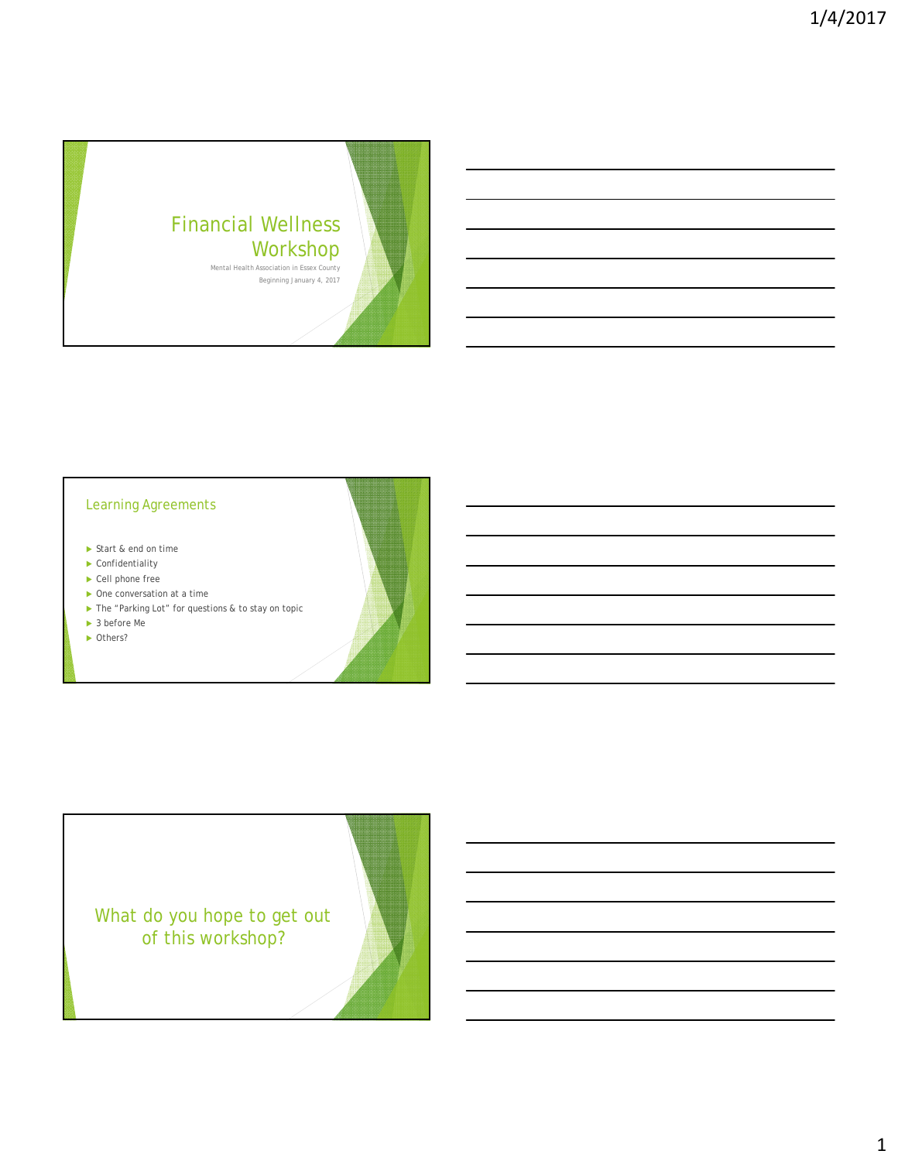

## Learning Agreements

- Start & end on time
- ▶ Confidentiality
- ▶ Cell phone free
- ▶ One conversation at a time
- ▶ The "Parking Lot" for questions & to stay on topic
- ▶ 3 before Me
- ▶ Others?

What do you hope to get out of this workshop?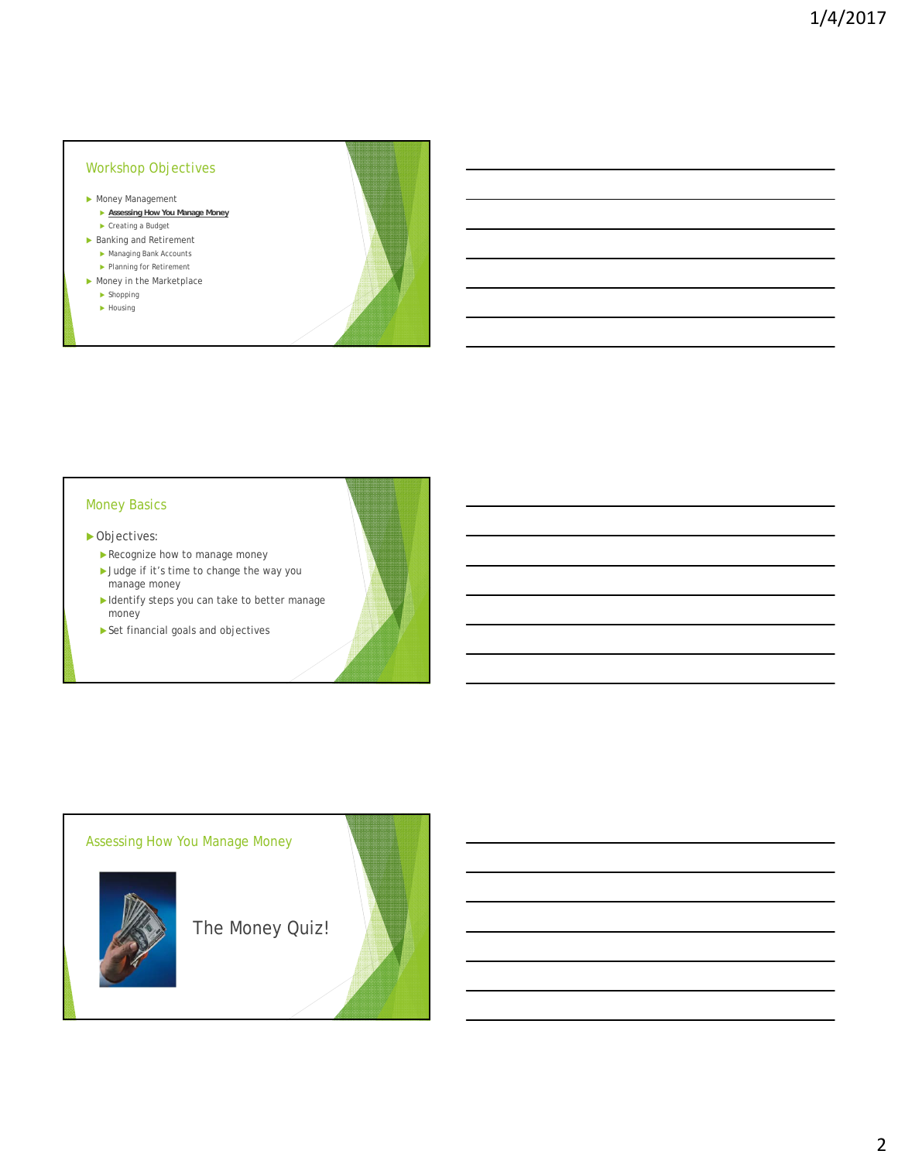### Workshop Objectives

- Money Management
	- **Assessing How You Manage Money**  ▶ Creating a Budget
- Banking and Retirement
	- Managing Bank Accounts
	- Planning for Retirement
- Money in the Marketplace  $\blacktriangleright$  Shopping
	- $\blacktriangleright$  Housing

#### Money Basics

- ▶ Objectives:
	- Recognize how to manage money
	- ▶ Judge if it's time to change the way you manage money
	- Identify steps you can take to better manage money
	- Set financial goals and objectives

### Assessing How You Manage Money



The Money Quiz!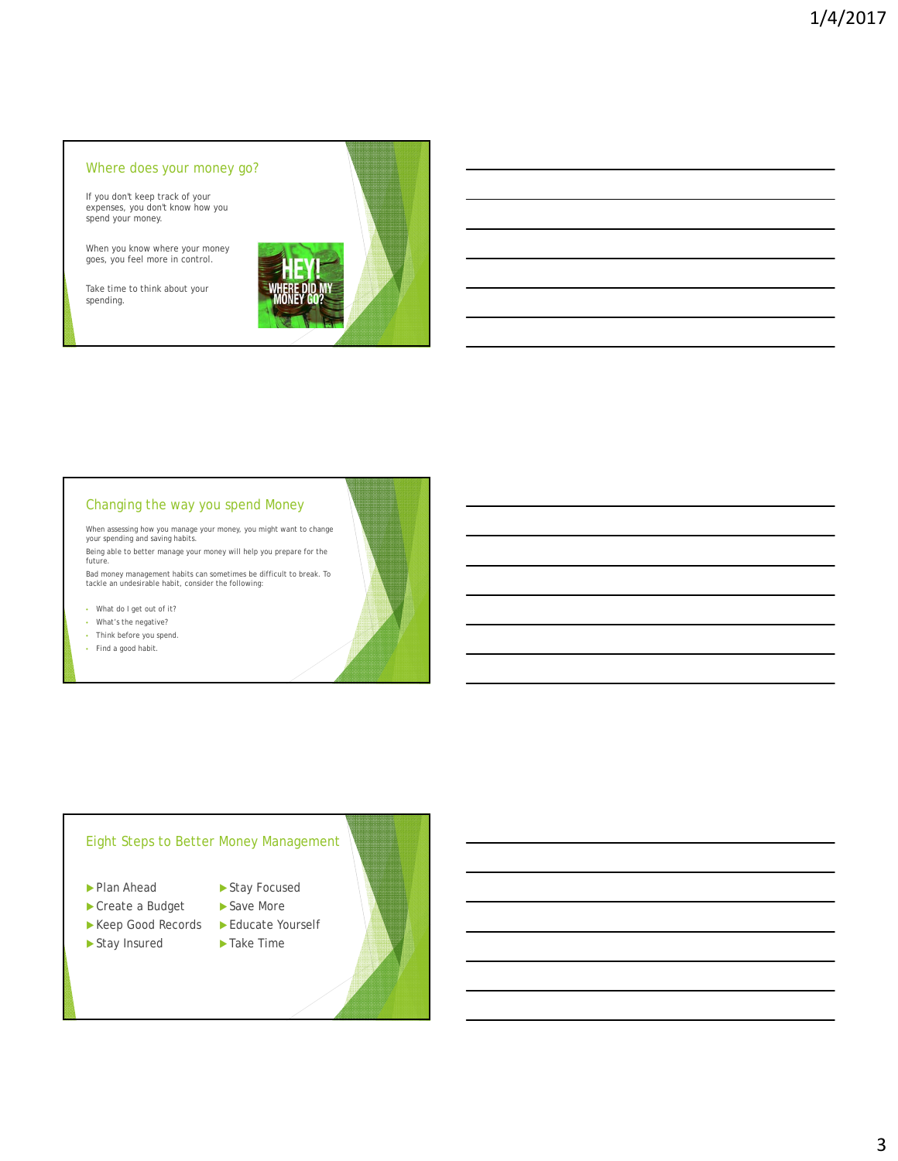#### Where does your money go?

If you don't keep track of your expenses, you don't know how you spend your money.

When you know where your money goes, you feel more in control.

Take time to think about your spending.



# Changing the way you spend Money

When assessing how you manage your money, you might want to change your spending and saving habits. Being able to better manage your money will help you prepare for the future.

Bad money management habits can sometimes be difficult to break. To tackle an undesirable habit, consider the following:

• What do I get out of it?

- What's the negative?
- Think before you spend.
- Find a good habit.

# Eight Steps to Better Money Management

- Plan Ahead
- ▶ Create a Budget
- ▶ Keep Good Records
- Stay Insured
- ▶ Educate Yourself

▶ Stay Focused ▶ Save More

▶ Take Time